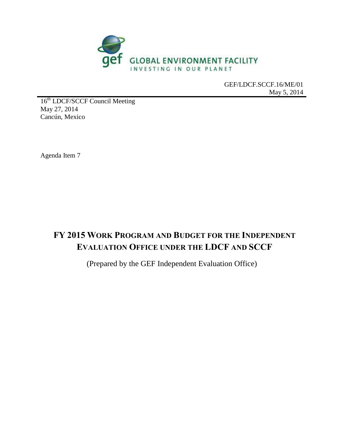

GEF/LDCF.SCCF.16/ME/01 May 5, 2014

16<sup>th</sup> LDCF/SCCF Council Meeting May 27, 2014 Cancún, Mexico

Agenda Item 7

# **FY 2015 WORK PROGRAM AND BUDGET FOR THE INDEPENDENT EVALUATION OFFICE UNDER THE LDCF AND SCCF**

(Prepared by the GEF Independent Evaluation Office)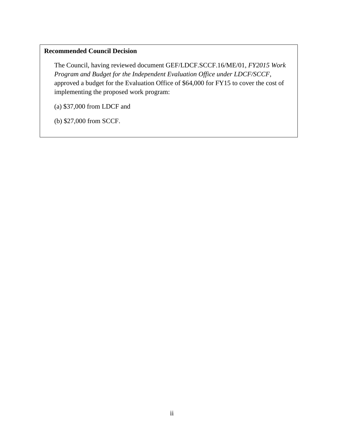## **Recommended Council Decision**

The Council, having reviewed document GEF/LDCF.SCCF.16/ME/01, *FY2015 Work Program and Budget for the Independent Evaluation Office under LDCF/SCCF,* approved a budget for the Evaluation Office of \$64,000 for FY15 to cover the cost of implementing the proposed work program:

(a) \$37,000 from LDCF and

(b) \$27,000 from SCCF.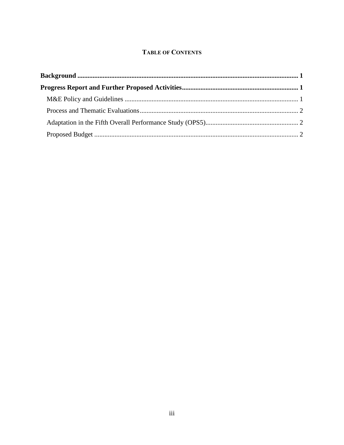## **TABLE OF CONTENTS**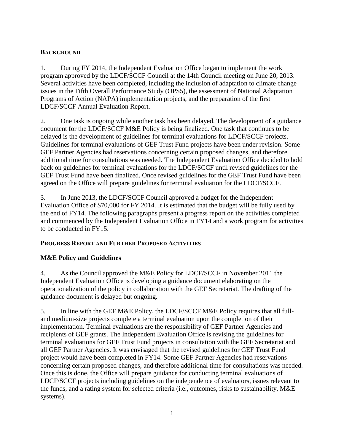## <span id="page-3-0"></span>**BACKGROUND**

1. During FY 2014, the Independent Evaluation Office began to implement the work program approved by the LDCF/SCCF Council at the 14th Council meeting on June 20, 2013. Several activities have been completed, including the inclusion of adaptation to climate change issues in the Fifth Overall Performance Study (OPS5), the assessment of National Adaptation Programs of Action (NAPA) implementation projects, and the preparation of the first LDCF/SCCF Annual Evaluation Report.

2. One task is ongoing while another task has been delayed. The development of a guidance document for the LDCF/SCCF M&E Policy is being finalized. One task that continues to be delayed is the development of guidelines for terminal evaluations for LDCF/SCCF projects. Guidelines for terminal evaluations of GEF Trust Fund projects have been under revision. Some GEF Partner Agencies had reservations concerning certain proposed changes, and therefore additional time for consultations was needed. The Independent Evaluation Office decided to hold back on guidelines for terminal evaluations for the LDCF/SCCF until revised guidelines for the GEF Trust Fund have been finalized. Once revised guidelines for the GEF Trust Fund have been agreed on the Office will prepare guidelines for terminal evaluation for the LDCF/SCCF.

3. In June 2013, the LDCF/SCCF Council approved a budget for the Independent Evaluation Office of \$70,000 for FY 2014. It is estimated that the budget will be fully used by the end of FY14. The following paragraphs present a progress report on the activities completed and commenced by the Independent Evaluation Office in FY14 and a work program for activities to be conducted in FY15.

#### <span id="page-3-1"></span>**PROGRESS REPORT AND FURTHER PROPOSED ACTIVITIES**

## <span id="page-3-2"></span>**M&E Policy and Guidelines**

4. As the Council approved the M&E Policy for LDCF/SCCF in November 2011 the Independent Evaluation Office is developing a guidance document elaborating on the operationalization of the policy in collaboration with the GEF Secretariat. The drafting of the guidance document is delayed but ongoing.

5. In line with the GEF M&E Policy, the LDCF/SCCF M&E Policy requires that all fulland medium-size projects complete a terminal evaluation upon the completion of their implementation. Terminal evaluations are the responsibility of GEF Partner Agencies and recipients of GEF grants. The Independent Evaluation Office is revising the guidelines for terminal evaluations for GEF Trust Fund projects in consultation with the GEF Secretariat and all GEF Partner Agencies. It was envisaged that the revised guidelines for GEF Trust Fund project would have been completed in FY14. Some GEF Partner Agencies had reservations concerning certain proposed changes, and therefore additional time for consultations was needed. Once this is done, the Office will prepare guidance for conducting terminal evaluations of LDCF/SCCF projects including guidelines on the independence of evaluators, issues relevant to the funds, and a rating system for selected criteria (i.e., outcomes, risks to sustainability, M&E systems).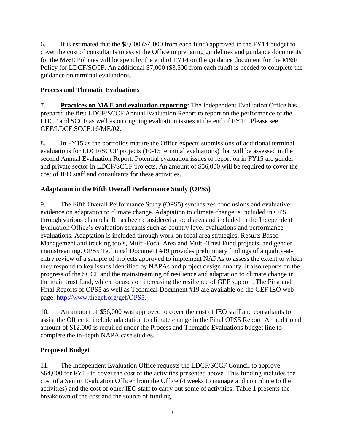6. It is estimated that the \$8,000 (\$4,000 from each fund) approved in the FY14 budget to cover the cost of consultants to assist the Office in preparing guidelines and guidance documents for the M&E Policies will be spent by the end of  $\overline{YY}14$  on the guidance document for the M&E Policy for LDCF/SCCF. An additional \$7,000 (\$3,500 from each fund) is needed to complete the guidance on terminal evaluations.

## <span id="page-4-0"></span>**Process and Thematic Evaluations**

7. **Practices on M&E and evaluation reporting:** The Independent Evaluation Office has prepared the first LDCF/SCCF Annual Evaluation Report to report on the performance of the LDCF and SCCF as well as on ongoing evaluation issues at the end of FY14. Please see GEF/LDCF.SCCF.16/ME/02.

8. In FY15 as the portfolios mature the Office expects submissions of additional terminal evaluations for LDCF/SCCF projects (10-15 terminal evaluations) that will be assessed in the second Annual Evaluation Report. Potential evaluation issues to report on in FY15 are gender and private sector in LDCF/SCCF projects. An amount of \$56,000 will be required to cover the cost of IEO staff and consultants for these activities.

## <span id="page-4-1"></span>**Adaptation in the Fifth Overall Performance Study (OPS5)**

9. The Fifth Overall Performance Study (OPS5) synthesizes conclusions and evaluative evidence on adaptation to climate change. Adaptation to climate change is included in OPS5 through various channels. It has been considered a focal area and included in the Independent Evaluation Office's evaluation streams such as country level evaluations and performance evaluations. Adaptation is included through work on focal area strategies, Results Based Management and tracking tools, Multi-Focal Area and Multi-Trust Fund projects, and gender mainstreaming. OPS5 Technical Document #19 provides preliminary findings of a quality-atentry review of a sample of projects approved to implement NAPAs to assess the extent to which they respond to key issues identified by NAPAs and project design quality. It also reports on the progress of the SCCF and the mainstreaming of resilience and adaptation to climate change in the main trust fund, which focuses on increasing the resilience of GEF support. The First and Final Reports of OPS5 as well as Technical Document #19 are available on the GEF IEO web page: [http://www.thegef.org/gef/OPS5.](http://www.thegef.org/gef/OPS5)

10. An amount of \$56,000 was approved to cover the cost of IEO staff and consultants to assist the Office to include adaptation to climate change in the Final OPS5 Report. An additional amount of \$12,000 is required under the Process and Thematic Evaluations budget line to complete the in-depth NAPA case studies.

## <span id="page-4-2"></span>**Proposed Budget**

11. The Independent Evaluation Office requests the LDCF/SCCF Council to approve \$64,000 for FY15 to cover the cost of the activities presented above. This funding includes the cost of a Senior Evaluation Officer from the Office (4 weeks to manage and contribute to the activities) and the cost of other IEO staff to carry out some of activities. Table 1 presents the breakdown of the cost and the source of funding.